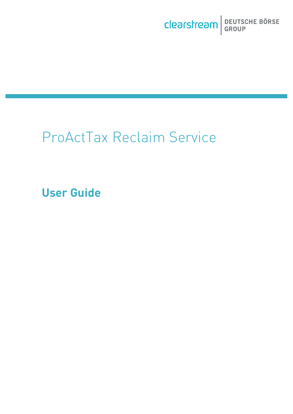**User Guide**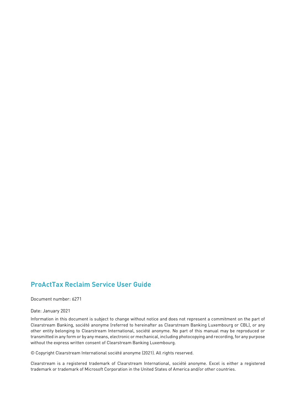## **ProActTax Reclaim Service User Guide**

Document number: 6271

Date: January 2021

Information in this document is subject to change without notice and does not represent a commitment on the part of Clearstream Banking, société anonyme (referred to hereinafter as Clearstream Banking Luxembourg or CBL), or any other entity belonging to Clearstream International, société anonyme. No part of this manual may be reproduced or transmitted in any form or by any means, electronic or mechanical, including photocopying and recording, for any purpose without the express written consent of Clearstream Banking Luxembourg.

© Copyright Clearstream International société anonyme (2021). All rights reserved.

Clearstream is a registered trademark of Clearstream International, société anonyme. Excel is either a registered trademark or trademark of Microsoft Corporation in the United States of America and/or other countries.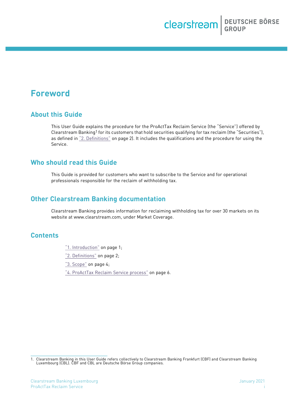## <span id="page-2-0"></span>**Foreword**

## <span id="page-2-1"></span>**About this Guide**

This User Guide explains the procedure for the ProActTax Reclaim Service (the "Service") offered by Clearstream Banking1 for its customers that hold securities qualifying for tax reclaim (the "Securities"), as defined in ["2. Definitions" on page 2\)](#page-7-0). It includes the qualifications and the procedure for using the Service.

## <span id="page-2-2"></span>**Who should read this Guide**

This Guide is provided for customers who want to subscribe to the Service and for operational professionals responsible for the reclaim of withholding tax.

### <span id="page-2-3"></span>**Other Clearstream Banking documentation**

Clearstream Banking provides information for reclaiming withholding tax for over 30 markets on its website at www.clearstream.com, under Market Coverage.

### <span id="page-2-4"></span>**Contents**

- ["1. Introduction" on page 1;](#page-6-0)
- ["2. Definitions" on page 2;](#page-7-0)
- ["3. Scope" on page 4;](#page-9-0)
- ["4. ProActTax Reclaim Service process" on page 6.](#page-11-0)

<sup>1.</sup> Clearstream Banking in this User Guide refers collectively to Clearstream Banking Frankfurt (CBF) and Clearstream Banking Luxembourg (CBL). CBF and CBL are Deutsche Börse Group companies.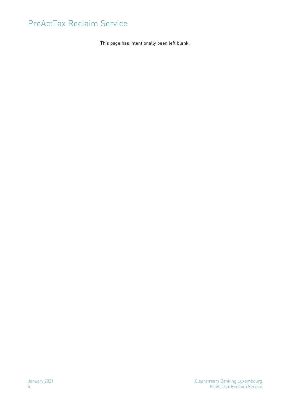This page has intentionally been left blank.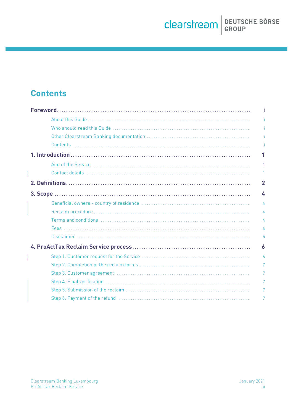Clearstream BEUTSCHE BÖRSE

## **Contents**

|  | T.             |
|--|----------------|
|  |                |
|  |                |
|  |                |
|  |                |
|  | $\overline{2}$ |
|  | 4              |
|  | 4              |
|  | 4              |
|  | 4              |
|  | 4              |
|  | 5              |
|  | 6              |
|  | 6              |
|  | 7              |
|  | 7              |
|  | 7              |
|  | 7              |
|  |                |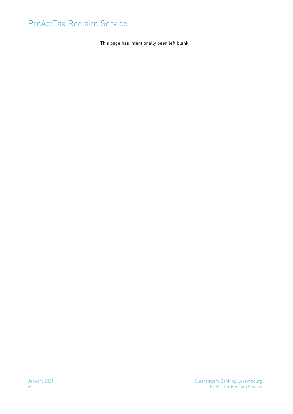This page has intentionally been left blank.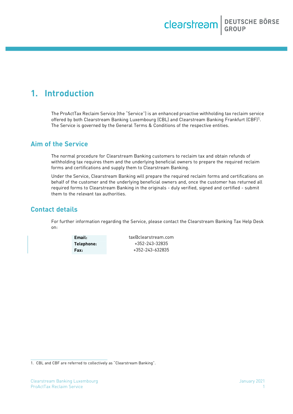## <span id="page-6-1"></span><span id="page-6-0"></span>**1. Introduction**

The ProActTax Reclaim Service (the "Service") is an enhanced proactive withholding tax reclaim service offered by both Clearstream Banking Luxembourg (CBL) and Clearstream Banking Frankfurt (CBF)1. The Service is governed by the General Terms & Conditions of the respective entities.

## <span id="page-6-2"></span>**Aim of the Service**

The normal procedure for Clearstream Banking customers to reclaim tax and obtain refunds of withholding tax requires them and the underlying beneficial owners to prepare the required reclaim forms and certifications and supply them to Clearstream Banking.

Under the Service, Clearstream Banking will prepare the required reclaim forms and certifications on behalf of the customer and the underlying beneficial owners and, once the customer has returned all required forms to Clearstream Banking in the originals - duly verified, signed and certified - submit them to the relevant tax authorities.

## <span id="page-6-3"></span>**Contact details**

For further information regarding the Service, please contact the Clearstream Banking Tax Help Desk on:

| Email:     | tax@clearstream.com |  |  |
|------------|---------------------|--|--|
| Telephone: | +352-243-32835      |  |  |
| Fax:       | +352-243-632835     |  |  |

<sup>1.</sup> CBL and CBF are referred to collectively as "Clearstream Banking".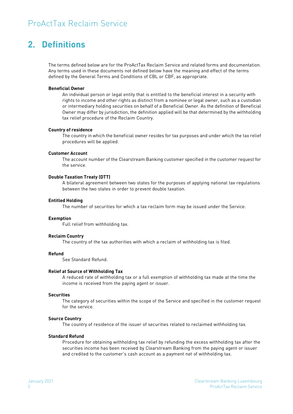## <span id="page-7-1"></span><span id="page-7-0"></span>**2. Definitions**

The terms defined below are for the ProActTax Reclaim Service and related forms and documentation. Any terms used in these documents not defined below have the meaning and effect of the terms defined by the General Terms and Conditions of CBL or CBF, as appropriate.

#### **Beneficial Owner**

An individual person or legal entity that is entitled to the beneficial interest in a security with rights to income and other rights as distinct from a nominee or legal owner, such as a custodian or intermediary holding securities on behalf of a Beneficial Owner. As the definition of Beneficial Owner may differ by jurisdiction, the definition applied will be that determined by the withholding tax relief procedure of the Reclaim Country.

#### **Country of residence**

The country in which the beneficial owner resides for tax purposes and under which the tax relief procedures will be applied.

#### **Customer Account**

The account number of the Clearstream Banking customer specified in the customer request for the service.

#### **Double Taxation Treaty (DTT)**

A bilateral agreement between two states for the purposes of applying national tax regulations between the two states in order to prevent double taxation.

#### **Entitled Holding**

The number of securities for which a tax reclaim form may be issued under the Service.

#### **Exemption**

Full relief from withholding tax.

#### **Reclaim Country**

The country of the tax authorities with which a reclaim of withholding tax is filed.

#### **Refund**

See Standard Refund.

#### **Relief at Source of Withholding Tax**

A reduced rate of withholding tax or a full exemption of withholding tax made at the time the income is received from the paying agent or issuer.

#### **Securities**

The category of securities within the scope of the Service and specified in the customer request for the service.

#### **Source Country**

The country of residence of the issuer of securities related to reclaimed withholding tax.

#### **Standard Refund**

Procedure for obtaining withholding tax relief by refunding the excess withholding tax after the securities income has been received by Clearstream Banking from the paying agent or issuer and credited to the customer's cash account as a payment net of withholding tax.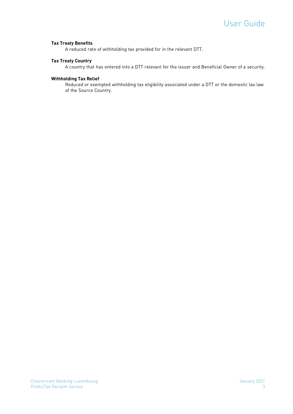#### **Tax Treaty Benefits**

A reduced rate of withholding tax provided for in the relevant DTT.

#### **Tax Treaty Country**

A country that has entered into a DTT relevant for the issuer and Beneficial Owner of a security.

#### **Withholding Tax Relief**

Reduced or exempted withholding tax eligibility associated under a DTT or the domestic tax law of the Source Country.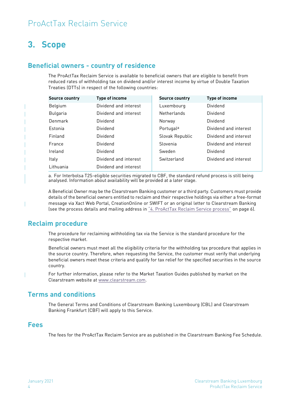## <span id="page-9-1"></span><span id="page-9-0"></span>**3. Scope**

### <span id="page-9-2"></span>**Beneficial owners - country of residence**

The ProActTax Reclaim Service is available to beneficial owners that are eligible to benefit from reduced rates of withholding tax on dividend and/or interest income by virtue of Double Taxation Treaties (DTTs) in respect of the following countries:

| <b>Source country</b> | Type of income        | <b>Source country</b> | <b>Type of income</b> |
|-----------------------|-----------------------|-----------------------|-----------------------|
| Belgium               | Dividend and interest | Luxembourg            | Dividend              |
| Bulgaria              | Dividend and interest | <b>Netherlands</b>    | Dividend              |
| Denmark               | Dividend              | Norway                | Dividend              |
| Estonia               | Dividend              | Portugal <sup>a</sup> | Dividend and interest |
| Finland               | Dividend              | Slovak Republic       | Dividend and interest |
| France                | Dividend              | Slovenia              | Dividend and interest |
| Ireland               | Dividend              | Sweden                | Dividend              |
| Italy                 | Dividend and interest | Switzerland           | Dividend and interest |
| Lithuania             | Dividend and interest |                       |                       |

a. For Interbolsa T2S-eligible securities migrated to CBF, the standard refund process is still being analysed. Information about availability will be provided at a later stage.

A Beneficial Owner may be the Clearstream Banking customer or a third party. Customers must provide details of the beneficial owners entitled to reclaim and their respective holdings via either a free-format message via Xact Web Portal, CreationOnline or SWIFT or an original letter to Clearstream Banking (see the process details and mailing address in ["4. ProActTax Reclaim Service process" on page 6](#page-11-1)).

### <span id="page-9-3"></span>**Reclaim procedure**

The procedure for reclaiming withholding tax via the Service is the standard procedure for the respective market.

Beneficial owners must meet all the eligibility criteria for the withholding tax procedure that applies in the source country. Therefore, when requesting the Service, the customer must verify that underlying beneficial owners meet these criteria and qualify for tax relief for the specified securities in the source country.

For further information, please refer to the Market Taxation Guides published by market on the Clearstream website at [www.clearstream.com.](http://www.clearstream.com/ci/dispatch/en/subcat/7PMHEU242MMIS)

### <span id="page-9-4"></span>**Terms and conditions**

The General Terms and Conditions of Clearstream Banking Luxembourg (CBL) and Clearstream Banking Frankfurt (CBF) will apply to this Service.

### <span id="page-9-5"></span>**Fees**

The fees for the ProActTax Reclaim Service are as published in the Clearstream Banking Fee Schedule.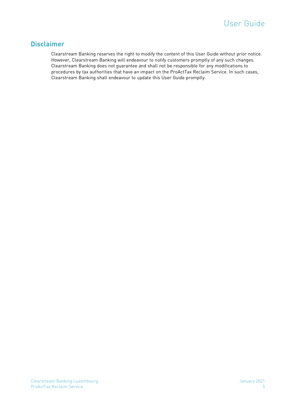

### <span id="page-10-0"></span>**Disclaimer**

Clearstream Banking reserves the right to modify the content of this User Guide without prior notice. However, Clearstream Banking will endeavour to notify customers promptly of any such changes. Clearstream Banking does not guarantee and shall not be responsible for any modifications to procedures by tax authorities that have an impact on the ProActTax Reclaim Service. In such cases, Clearstream Banking shall endeavour to update this User Guide promptly.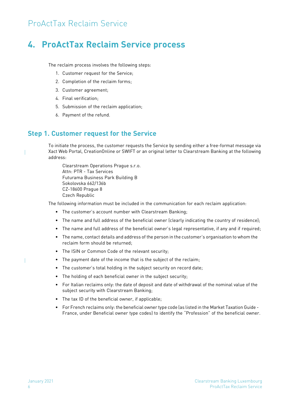## <span id="page-11-1"></span><span id="page-11-0"></span>**4. ProActTax Reclaim Service process**

The reclaim process involves the following steps:

- 1. Customer request for the Service;
- 2. Completion of the reclaim forms;
- 3. Customer agreement;
- 4. Final verification;
- 5. Submission of the reclaim application;
- 6. Payment of the refund.

### <span id="page-11-2"></span>**Step 1. Customer request for the Service**

To initiate the process, the customer requests the Service by sending either a free-format message via Xact Web Portal, CreationOnline or SWIFT or an original letter to Clearstream Banking at the following address:

Clearstream Operations Prague s.r.o. Attn: PTR - Tax Services Futurama Business Park Building B Sokolovska 662/136b CZ-18600 Prague 8 Czech Republic

The following information must be included in the communication for each reclaim application:

- The customer's account number with Clearstream Banking;
- The name and full address of the beneficial owner (clearly indicating the country of residence);
- The name and full address of the beneficial owner's legal representative, if any and if required;
- The name, contact details and address of the person in the customer's organisation to whom the reclaim form should be returned;
- The ISIN or Common Code of the relevant security;
- The payment date of the income that is the subject of the reclaim;
- The customer's total holding in the subject security on record date;
- The holding of each beneficial owner in the subject security;
- For Italian reclaims only: the date of deposit and date of withdrawal of the nominal value of the subject security with Clearstream Banking;
- The tax ID of the beneficial owner, if applicable;
- For French reclaims only: the beneficial owner type code (as listed in the Market Taxation Guide France, under Beneficial owner type codes) to identify the "Profession" of the beneficial owner.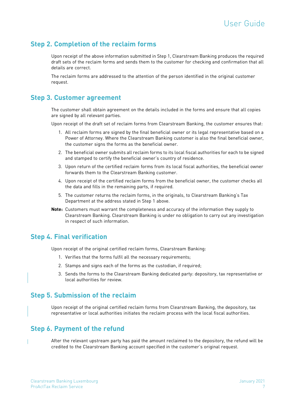## User Guide

### <span id="page-12-0"></span>**Step 2. Completion of the reclaim forms**

Upon receipt of the above information submitted in Step 1, Clearstream Banking produces the required draft sets of the reclaim forms and sends them to the customer for checking and confirmation that all details are correct.

The reclaim forms are addressed to the attention of the person identified in the original customer request.

### <span id="page-12-1"></span>**Step 3. Customer agreement**

The customer shall obtain agreement on the details included in the forms and ensure that all copies are signed by all relevant parties.

Upon receipt of the draft set of reclaim forms from Clearstream Banking, the customer ensures that:

- 1. All reclaim forms are signed by the final beneficial owner or its legal representative based on a Power of Attorney. Where the Clearstream Banking customer is also the final beneficial owner, the customer signs the forms as the beneficial owner.
- 2. The beneficial owner submits all reclaim forms to its local fiscal authorities for each to be signed and stamped to certify the beneficial owner's country of residence.
- 3. Upon return of the certified reclaim forms from its local fiscal authorities, the beneficial owner forwards them to the Clearstream Banking customer.
- 4. Upon receipt of the certified reclaim forms from the beneficial owner, the customer checks all the data and fills in the remaining parts, if required.
- 5. The customer returns the reclaim forms, in the originals, to Clearstream Banking's Tax Department at the address stated in Step 1 above.
- **Note:** Customers must warrant the completeness and accuracy of the information they supply to Clearstream Banking. Clearstream Banking is under no obligation to carry out any investigation in respect of such information.

### <span id="page-12-2"></span>**Step 4. Final verification**

Upon receipt of the original certified reclaim forms, Clearstream Banking:

- 1. Verifies that the forms fulfil all the necessary requirements;
- 2. Stamps and signs each of the forms as the custodian, if required;
- 3. Sends the forms to the Clearstream Banking dedicated party: depository, tax representative or local authorities for review.

### <span id="page-12-3"></span>**Step 5. Submission of the reclaim**

Upon receipt of the original certified reclaim forms from Clearstream Banking, the depository, tax representative or local authorities initiates the reclaim process with the local fiscal authorities.

### <span id="page-12-4"></span>**Step 6. Payment of the refund**

After the relevant upstream party has paid the amount reclaimed to the depository, the refund will be credited to the Clearstream Banking account specified in the customer's original request.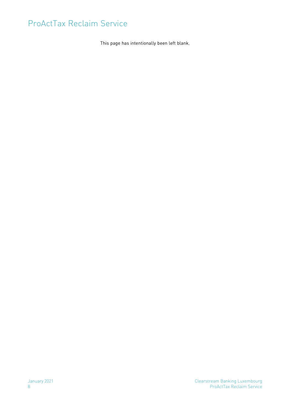This page has intentionally been left blank.